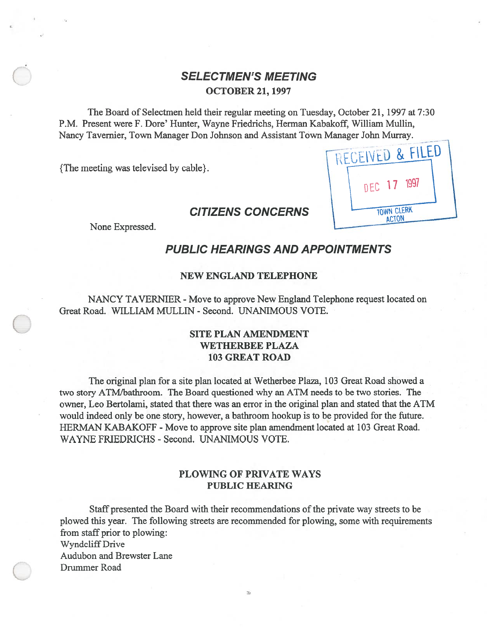# **SELECTMEN'S MEETING** OCTOBER 21, 1997

The Board of Selectmen held their regular meeting on Tuesday, October 21, 1997 at 7:30 P.M. Present were F. Dore' Hunter, Wayne Friedrichs, Herman Kabakoff, William Mullin, Nancy Tavemier, Town Manager Don Johnson and Assistant Town Manager John Murray.

{The meeting was televised by cable}.

# RECEIVED & FILED **TOWN CLERK ACTON**

# CITIZENS CONCERNS

None Expressed.

# PUBLIC HEARINGS AND APPOINTMENTS

#### NEW ENGLAND TELEPHONE

NANCY TAVERNIER - Move to approve New England Telephone reques<sup>t</sup> located on Great Road. WILLIAM MULLIN - Second. UNANIMOUS VOTE.

## SITE PLAN AMENDMENT WETHERBEE PLAZA 103 GREAT ROAD

The original plan for <sup>a</sup> site plan located at Wetherbee Plaza, 103 Great Road showed <sup>a</sup> two story ATM/bathroom. The Board questioned why an ATM needs to be two stories. The owner, Leo Bertolami, stated that there was an error in the original plan and stated that the ATM would indeed only be one story, however, <sup>a</sup> bathroom hookup is to be provided for the future. HERMAN KABAKOFF - Move to approve site plan amendment located at 103 Great Road. WAYNE FRIEDRICHS - Second. UNANIMOUS VOTE.

#### PLOWING OF PRIVATE WAYS PUBLIC HEARING

Staff presented the Board with their recommendations of the private way streets to be plowed this year. The following streets are recommended for plowing, some with requirements from staff prior to plowing: Wyndcliff Drive Audubon and Brewster Lane Drummer Road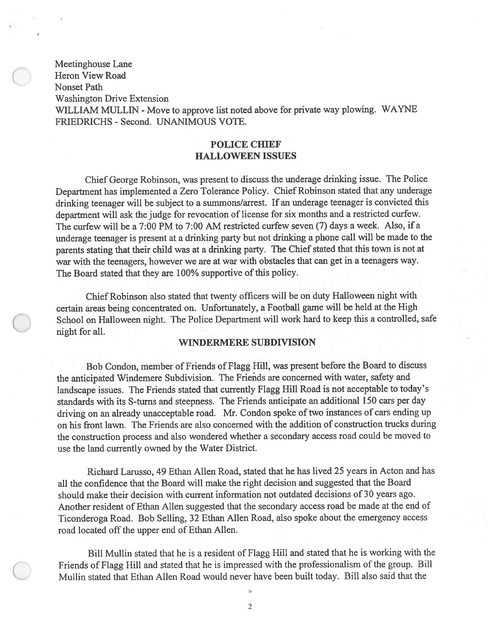Meetinghouse Lane Heron View Road Nonset Path Washington Drive Extension WILLIAM MULLIN - Move to approve list noted above for private way plowing. WAYNE FRIEDRICHS - Second. UNANIMOUS VOTE.

#### POLICE CHIEF HALLOWEEN ISSUES

Chief George Robinson, was presen<sup>t</sup> to discuss the underage drinking issue. The Police Department has implemented <sup>a</sup> Zero Tolerance Policy. Chief Robinson stated that any underage drinking teenager will be subject to <sup>a</sup> summons/arrest. If an underage teenager is convicted this department will ask the judge for revocation of license for six months and <sup>a</sup> restricted curfew. The curfew will be <sup>a</sup> 7:00 PM to 7:00 AM restricted curfew seven (7) days <sup>a</sup> week. Also, if <sup>a</sup> underage teenager is presen<sup>t</sup> at <sup>a</sup> drinking party but not drinking <sup>a</sup> <sup>p</sup>hone call will be made to the parents stating that their child was at <sup>a</sup> drinking party. The Chief stated that this town is not at war with the teenagers, however we are at war with obstacles that can ge<sup>t</sup> in <sup>a</sup> teenagers way. The Board stated that they are 100% supportive of this policy.

Chief Robinson also stated that twenty officers will be on duty Halloween night with certain areas being concentrated on. Unfortunately, <sup>a</sup> Football game will be held at the High School on Halloween night. The Police Department will work hard to keep this <sup>a</sup> controlled, safe night for all.

#### WINDERMERE SUBDIVISION

Bob Condon, member of friends of Flagg Hill, was presen<sup>t</sup> before the Board to discuss the anticipated Windemere Subdivision. The Friends are concerned with water, safety and landscape issues. The Friends stated that currently flagg Hill Road is not acceptable to today's standards with its S-turns and steepness. The Friends anticipate an additional 150 cars per day driving on an already unacceptable road. Mr. Condon spoke of two instances of cars ending up on his front lawn. The Friends are also concerned with the addition of construction trucks during the construction process and also wondered whether <sup>a</sup> secondary access road could be moved to use the land currently owned by the Water District.

Richard Larusso, 49 Ethan Allen Road, stated that he has lived 25 years in Acton and has all the confidence that the Board will make the right decision and suggested that the Board should make their decision with current information not outdated decisions of 30 years ago. Another resident of Ethan Allen suggested that the secondary access road be made at the end of Ticonderoga Road. Bob Selling, <sup>32</sup> Ethan Allen Road, also spoke about the emergency access road located off the upper end of Ethan Allen.

Bill Mullin stated that he is <sup>a</sup> resident of Flagg Hill and stated that he is working with the friends of Flagg Hill and stated that he is impressed with the professionalism of the group. Bill Mullin stated that Ethan Allen Road would never have been built today. Bill also said that the

> i. 2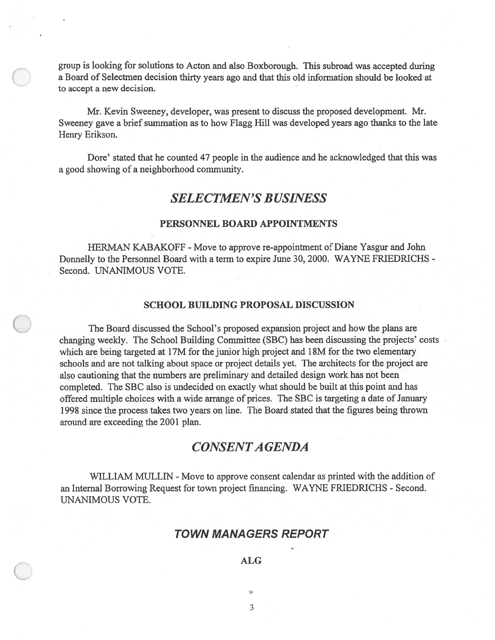group is looking for solutions to Acton and also Boxborough. This subroad was accepted during <sup>a</sup> Board of Selectmen decision thirty years ago and that this old information should be looked at to accep<sup>t</sup> <sup>a</sup> new decision.

Mr. Kevin Sweeney, developer, was presen<sup>t</sup> to discuss the proposed development. Mr. Sweeney gave <sup>a</sup> brief summation as to how Flagg Hill was developed years ago thanks to the late Henry Erikson.

Dore' stated that he counted 47 people in the audience and he acknowledged that this was <sup>a</sup> good showing of <sup>a</sup> neighborhood community.

## SELECTMEN'S BUSINESS

#### PERSONNEL BOARD APPOINTMENTS

HERMAN KABAKOFF - Move to approve re-appointment of Diane Yasgur and John Donnelly to the Personnel Board with <sup>a</sup> term to expire June 30, 2000. WAYNE FRIEDRICHS - Second. UNANIMOUS VOTE.

#### SCHOOL BUILDING PROPOSAL DISCUSSION

The Board discussed the School's proposed expansion project and how the plans are changing weekly. The School Building Committee (SBC) has been discussing the projects' costs which are being targeted at 17M for the junior high project and 18M for the two elementary schools and are not talking about space or project details yet. The architects for the project are also cautioning that the numbers are preliminary and detailed design work has not been completed. The SBC also is undecided on exactly what should be built at this point and has offered multiple choices with a wide arrange of prices. The SBC is targeting a date of January 1998 since the process takes two years on line. The Board stated that the figures being thrown around are exceeding the 2001 plan.

# CONSENTAGENDA

WILLIAM MULLIN - Move to approve consent calendar as printed with the addition of an Internal Borrowing Request for town project financing. WAYNE FRIEDRICHS - Second. UNANIMOUS VOTE.

#### TOWN MANAGERS REPORT

S

## ALG

3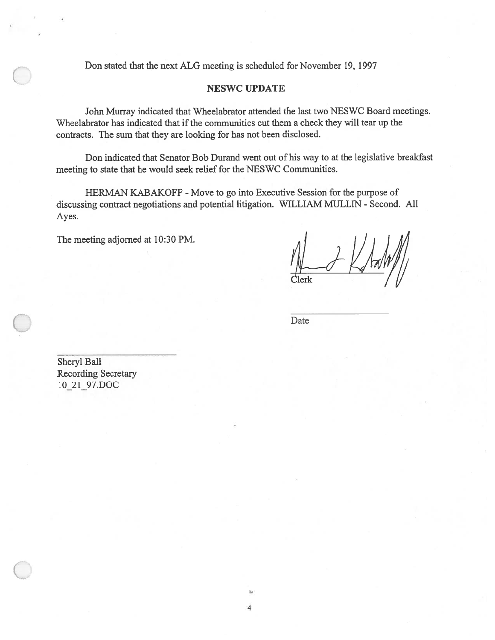Don stated that the next ALG meeting is scheduled for November 19, 1997

#### NESWC UPDATE

John Murray indicated that Wheelabrator attended the last two NESWC Board meetings. Wheelabrator has indicated that if the communities cut them a check they will tear up the contracts. The sum that they are looking for has not been disclosed.

Don indicated that Senator Bob Durand went out of his way to at the legislative breakfast meeting to state that he would seek relief for the NESWC Communities.

HERMAN KABAKOFF - Move to go into Executive Session for the purpose of discussing contract negotiations and potential litigation. WILLIAM MULLN - Second. All Ayes.

> $\overline{\mathbf{3}}$ 4

The meeting adjomed at 10:30 PM.

Date

Sheryl Ball Recording Secretary 10\_21\_97.DOC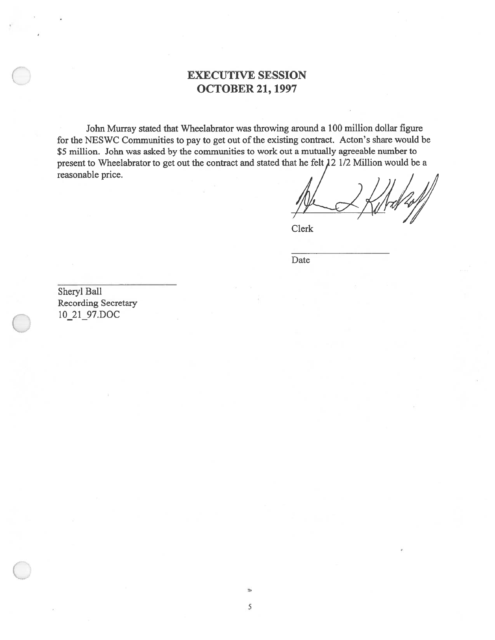# EXECUTIVE SESSION OCTOBER 21, 1997

John Murray stated that Wheelabrator was throwing around <sup>a</sup> 100 million dollar figure for the NESWC Communities to pay to ge<sup>t</sup> out of the existing contract. Acton's share would be \$5 million. John was asked by the communities to work out <sup>a</sup> mutually agreeable number to present to Wheelabrator to get out the contract and stated that he felt 12 1/2 Million would be a reasonable price.

Clerk

Date

Sheryl Ball Recording Secretary 10\_21\_97.DOC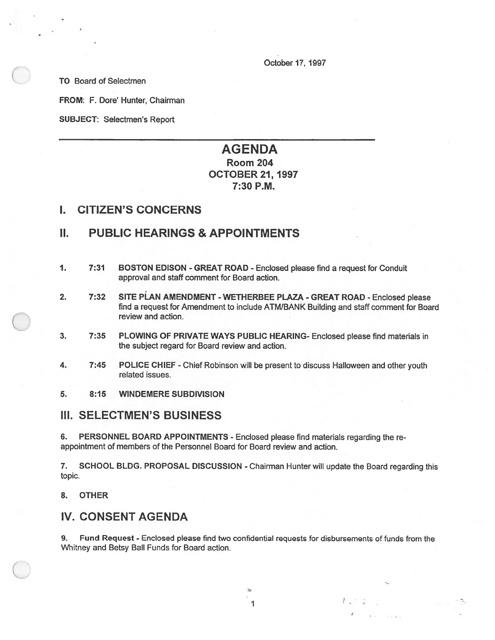October 17, 1997

TO Board of Selectmen

FROM: F. Dore' Hunter, Chairman

SUBJECT: Selectmen's Report

# AGENDA Room 204 OCTOBER 21, 1997 7:30 P.M.

## I. CITIZEN'S CONCERNS

## II. PUBLIC HEARINGS & APPOINTMENTS

- 1. 7:31 BOSTON EDISON GREAT ROAD Enclosed please find <sup>a</sup> reques<sup>t</sup> for Conduit approval and staff comment for Board action.
- 2. 7:32 SITE PLAN AMENDMENT WETHERBEE PLAZA GREAT ROAD Enclosed please find <sup>a</sup> reques<sup>t</sup> for Amendment to include ATM/BANK Building and staff comment for Board review and action.
- 3. 7:35 PLOWING OF PRIVATE WAYS PUBLIC HEARING- Enclosed please find materials in the subject regard for Board review and action.
- 4. 7:45 POLICE CHIEF -Chief Robinson will be presen<sup>t</sup> to discuss Halloween and other youth related issues.
- 5. 8:15 WINDEMERE SUBDIVISION

## III. SELECTMEN'S BUSINESS

6. PERSONNEL BOARD APPOINTMENTS - Enclosed <sup>p</sup>lease find materials regarding the re appointment of members of the Personnel Board for Board review and action.

7. SCHOOL BLDG. PROPOSAL DISCUSSION - Chairman Hunter will update the Board regarding this topic.

8. OTHER

# IV. CONSENT AGENDA

9. Fund Request -Enclosed please find two confidential requests for disbursements of funds from the Whitney and Betsy Ball Funds for Board action.

1

 $U$ ,  $\leq$   $U$